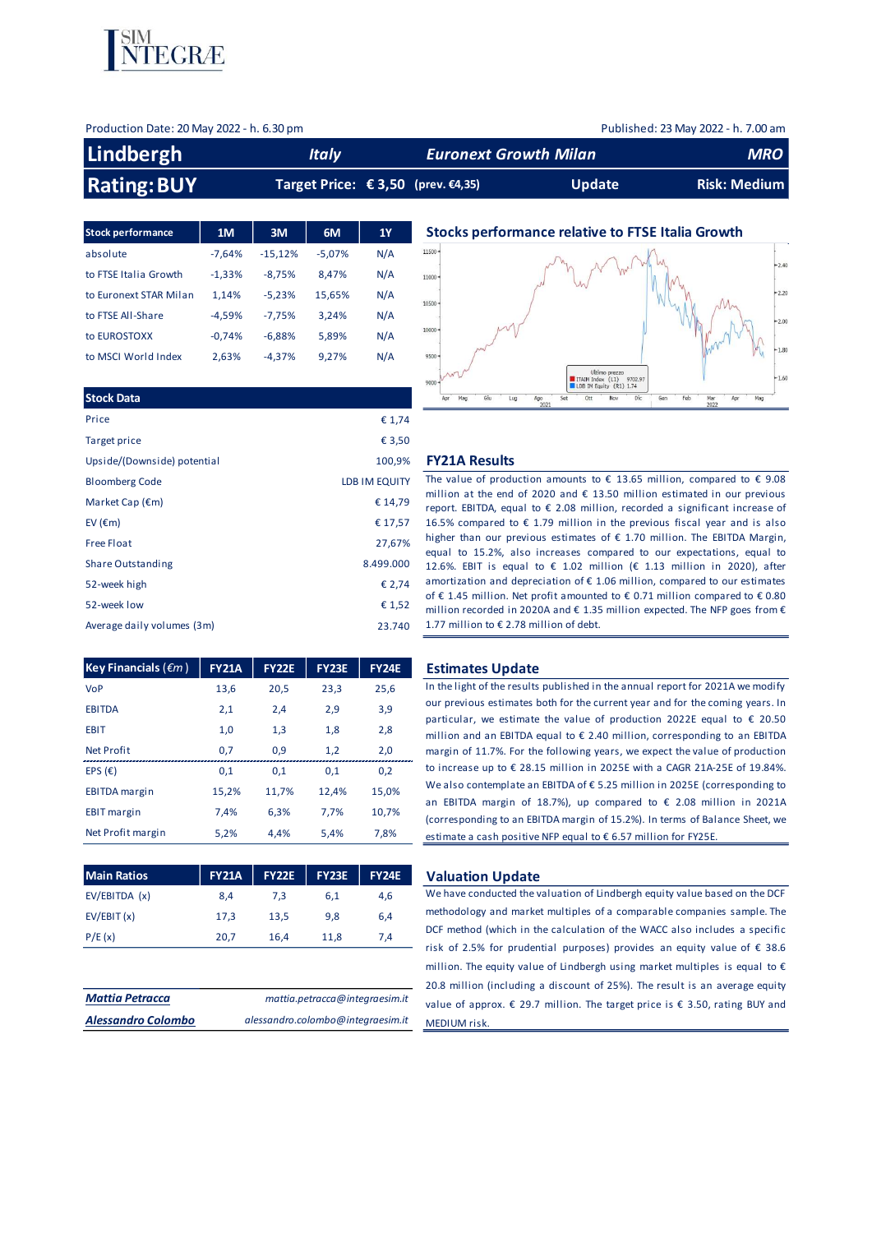

| Production Date: 20 May 2022 - h. 6.30 pm |              |                                    |                              | Published: 23 May 2022 - h. 7.00 am |
|-------------------------------------------|--------------|------------------------------------|------------------------------|-------------------------------------|
| Lindbergh                                 | <b>Italy</b> |                                    | <b>Euronext Growth Milan</b> | <b>MRO</b>                          |
| <b>Rating: BUY</b>                        |              | Target Price: € 3,50 (prev. €4,35) | <b>Update</b>                | <b>Risk: Medium</b>                 |

| <b>Stock performance</b> | 1M       | 3M        | 6M       | 1Y  |
|--------------------------|----------|-----------|----------|-----|
| absolute                 | $-7.64%$ | $-15,12%$ | $-5.07%$ | N/A |
| to FTSE Italia Growth    | $-1,33%$ | $-8.75%$  | 8.47%    | N/A |
| to Euronext STAR Milan   | 1.14%    | $-5.23%$  | 15,65%   | N/A |
| to FTSE All-Share        | $-4.59%$ | $-7.75%$  | 3.24%    | N/A |
| to EUROSTOXX             | $-0.74%$ | $-6.88%$  | 5,89%    | N/A |
| to MSCI World Index      | 2,63%    | $-4.37%$  | 9.27%    | N/A |

| <b>Stock Data</b>           |               |
|-----------------------------|---------------|
| Price                       | € 1,74        |
| Target price                | € 3,50        |
| Upside/(Downside) potential | 100,9%        |
| <b>Bloomberg Code</b>       | LDB IM EQUITY |
| Market Cap $(\epsilon m)$   | € 14,79       |
| EV $(\epsilon m)$           | € 17,57       |
| <b>Free Float</b>           | 27,67%        |
| <b>Share Outstanding</b>    | 8.499.000     |
| 52-week high                | € 2,74        |
| 52-week low                 | € 1,52        |
| Average daily volumes (3m)  | 23.740        |
|                             |               |

| <b>Key Financials (</b> $\epsilon$ <i>m</i> ) | <b>FY21A</b> | <b>FY22E</b> | <b>FY23E</b> | <b>FY24E</b> |
|-----------------------------------------------|--------------|--------------|--------------|--------------|
| <b>VoP</b>                                    | 13,6         | 20,5         | 23,3         | 25,6         |
| <b>EBITDA</b>                                 | 2,1          | 2,4          | 2,9          | 3,9          |
| <b>EBIT</b>                                   | 1,0          | 1,3          | 1,8          | 2,8          |
| <b>Net Profit</b>                             | 0,7          | 0,9          | 1,2          | 2,0          |
| EPS $(E)$                                     | 0,1          | 0,1          | 0,1          | 0,2          |
| <b>EBITDA</b> margin                          | 15,2%        | 11,7%        | 12,4%        | 15,0%        |
| <b>EBIT</b> margin                            | 7,4%         | 6.3%         | 7.7%         | 10.7%        |
| Net Profit margin                             | 5,2%         | 4,4%         | 5,4%         | 7,8%         |

| <b>Main Ratios</b> | <b>FY21A</b> | <b>FY22E</b> | <b>FY23E</b> | <b>FY24E</b> |
|--------------------|--------------|--------------|--------------|--------------|
| EV/EBITDA(x)       | 8.4          | 7.3          | 6.1          | 4.6          |
| EV/EBIT(x)         | 17,3         | 13,5         | 9.8          | 6.4          |
| P/E(x)             | 20,7         | 16,4         | 11,8         | 7.4          |

| <b>Mattia Petracca</b>    | mattia.petracca@integraesim.it    |
|---------------------------|-----------------------------------|
| <b>Alessandro Colombo</b> | alessandro.colombo@integraesim.it |

## **Stocks performance relative to FTSE Italia Growth**



### Upside/(Downside) potential 100,9% **FY21A Results**

The value of production amounts to  $\epsilon$  13.65 million, compared to  $\epsilon$  9.08 million at the end of 2020 and € 13.50 million estimated in our previous report. EBITDA, equal to € 2.08 million, recorded a significant increase of 16.5% compared to  $€ 1.79$  million in the previous fiscal year and is also higher than our previous estimates of € 1.70 million. The EBITDA Margin, equal to 15.2%, also increases compared to our expectations, equal to 12.6%. EBIT is equal to € 1.02 million (€ 1.13 million in 2020), after amortization and depreciation of  $\epsilon$  1.06 million, compared to our estimates of € 1.45 million. Net profit amounted to € 0.71 million compared to € 0.80 million recorded in 2020A and  $\epsilon$  1.35 million expected. The NFP goes from  $\epsilon$ 1.77 million to € 2.78 million of debt.

#### **Estimates Update**

In the light of the results published in the annual report for 2021A we modify our previous estimates both for the current year and for the coming years. In particular, we estimate the value of production 2022E equal to  $\epsilon$  20.50 million and an EBITDA equal to € 2.40 million, corresponding to an EBITDA margin of 11.7%. For the following years, we expect the value of production to increase up to € 28.15 million in 2025E with a CAGR 21A-25E of 19.84%. We also contemplate an EBITDA of € 5.25 million in 2025E (corresponding to an EBITDA margin of 18.7%), up compared to € 2.08 million in 2021A (corresponding to an EBITDA margin of 15.2%). In terms of Balance Sheet, we estimate a cash positive NFP equal to € 6.57 million for FY25E.

#### **Maluation Update**

We have conducted the valuation of Lindbergh equity value based on the DCF methodology and market multiples of a comparable companies sample. The DCF method (which in the calculation of the WACC also includes a specific risk of 2.5% for prudential purposes) provides an equity value of € 38.6 million. The equity value of Lindbergh using market multiples is equal to € 20.8 million (including a discount of 25%). The result is an average equity value of approx. € 29.7 million. The target price is € 3.50, rating BUY and MEDIUM risk.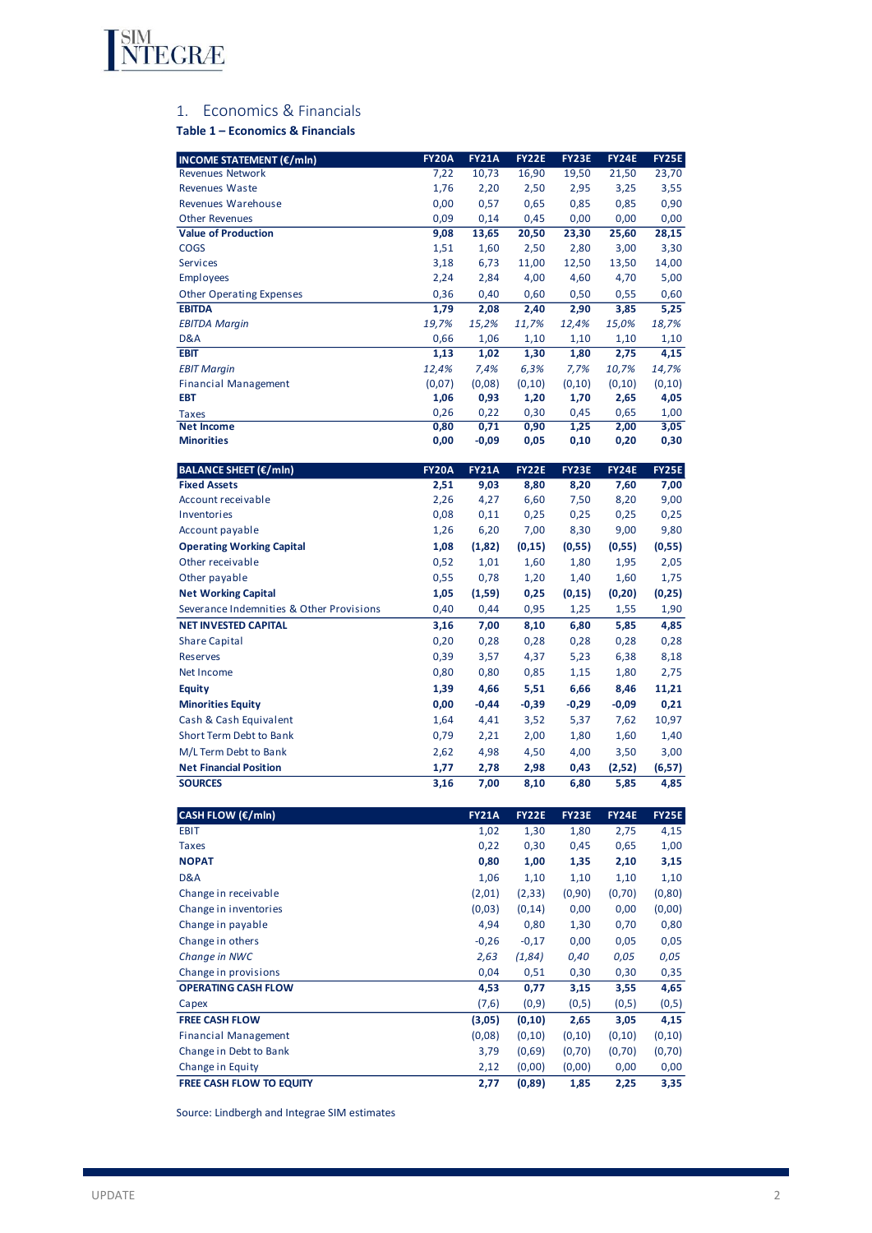

# 1. Economics & Financials

# **Table 1 – Economics & Financials**

| <b>INCOME STATEMENT (€/mln)</b>          | <b>FY20A</b> | <b>FY21A</b> | <b>FY22E</b> | FY23E        | <b>FY24E</b> | <b>FY25E</b> |
|------------------------------------------|--------------|--------------|--------------|--------------|--------------|--------------|
| <b>Revenues Network</b>                  | 7,22         | 10,73        | 16,90        | 19,50        | 21,50        | 23,70        |
| <b>Revenues Waste</b>                    | 1,76         | 2,20         | 2,50         | 2,95         | 3,25         | 3,55         |
| Revenues Warehouse                       | 0,00         | 0,57         | 0,65         | 0,85         | 0,85         | 0,90         |
| <b>Other Revenues</b>                    | 0,09         | 0,14         | 0,45         | 0,00         | 0,00         | 0,00         |
| <b>Value of Production</b>               | 9,08         | 13,65        | 20,50        | 23,30        | 25,60        | 28,15        |
| <b>COGS</b>                              | 1,51         | 1,60         | 2,50         | 2,80         | 3,00         | 3,30         |
| <b>Services</b>                          | 3,18         | 6,73         | 11,00        | 12,50        | 13,50        | 14,00        |
| <b>Employees</b>                         | 2,24         | 2,84         | 4,00         | 4,60         | 4,70         | 5,00         |
| <b>Other Operating Expenses</b>          | 0,36         | 0,40         | 0,60         | 0,50         | 0,55         | 0,60         |
| <b>EBITDA</b>                            | 1,79         | 2,08         | 2,40         | 2,90         | 3,85         | 5,25         |
| <b>EBITDA Margin</b>                     | 19,7%        | 15,2%        | 11,7%        | 12,4%        | 15,0%        | 18,7%        |
| D&A                                      | 0,66         | 1,06         | 1,10         | 1,10         | 1,10         | 1,10         |
| <b>EBIT</b>                              | 1,13         | 1,02         | 1,30         | 1,80         | 2,75         | 4,15         |
| <b>EBIT Margin</b>                       | 12,4%        | 7,4%         | 6,3%         | 7,7%         | 10,7%        | 14,7%        |
| <b>Financial Management</b>              | (0,07)       | (0,08)       | (0, 10)      | (0,10)       | (0,10)       | (0, 10)      |
| EBT                                      | 1,06<br>0,26 | 0,93<br>0,22 | 1,20<br>0,30 | 1,70<br>0,45 | 2,65<br>0,65 | 4,05<br>1,00 |
| <b>Taxes</b><br><b>Net Income</b>        | 0,80         | 0,71         | 0,90         | 1,25         | 2,00         | 3,05         |
| <b>Minorities</b>                        | 0,00         | -0,09        | 0,05         | 0,10         | 0,20         | 0,30         |
|                                          |              |              |              |              |              |              |
| <b>BALANCE SHEET (€/mln)</b>             | <b>FY20A</b> | <b>FY21A</b> | <b>FY22E</b> | FY23E        | <b>FY24E</b> | <b>FY25E</b> |
| <b>Fixed Assets</b>                      | 2,51         | 9,03         | 8,80         | 8,20         | 7,60         | 7,00         |
| Account receivable                       | 2,26         | 4,27         | 6,60         | 7,50         | 8,20         | 9,00         |
| Inventories                              | 0,08         | 0,11         | 0,25         | 0,25         | 0,25         | 0,25         |
| Account payable                          | 1,26         | 6,20         | 7,00         | 8,30         | 9,00         | 9,80         |
| <b>Operating Working Capital</b>         | 1,08         | (1, 82)      | (0, 15)      | (0, 55)      | (0, 55)      | (0, 55)      |
| Other receivable                         | 0,52         | 1,01         | 1,60         | 1,80         | 1,95         | 2,05         |
| Other payable                            | 0,55         | 0,78         | 1,20         | 1,40         | 1,60         | 1,75         |
| <b>Net Working Capital</b>               | 1,05         | (1,59)       | 0,25         | (0, 15)      | (0, 20)      | (0, 25)      |
| Severance Indemnities & Other Provisions | 0,40         | 0,44         | 0,95         | 1,25         | 1,55         | 1,90         |
| <b>NET INVESTED CAPITAL</b>              | 3,16         | 7,00         | 8,10         | 6,80         | 5,85         | 4,85         |
| <b>Share Capital</b>                     | 0,20         | 0,28         | 0,28         | 0,28         | 0,28         | 0,28         |
| <b>Reserves</b>                          | 0,39         | 3,57         | 4,37         | 5,23         | 6,38         | 8,18         |
| Net Income                               | 0,80         | 0,80         | 0,85         | 1,15         | 1,80         | 2,75         |
| <b>Equity</b>                            | 1,39         | 4,66         | 5,51         | 6,66         | 8,46         | 11,21        |
| <b>Minorities Equity</b>                 | 0,00         | $-0,44$      | $-0,39$      | $-0,29$      | $-0,09$      | 0,21         |
| Cash & Cash Equivalent                   | 1,64         | 4,41         | 3,52         | 5,37         | 7,62         | 10,97        |
| Short Term Debt to Bank                  | 0,79         | 2,21         | 2,00         | 1,80         | 1,60         | 1,40         |
| M/L Term Debt to Bank                    | 2,62         | 4,98         | 4,50         | 4,00         | 3,50         | 3,00         |
| <b>Net Financial Position</b>            | 1,77         | 2,78         | 2,98         | 0,43         | (2,52)       | (6, 57)      |
| <b>SOURCES</b>                           | 3,16         | 7,00         | 8,10         | 6,80         | 5,85         | 4,85         |
|                                          |              |              |              |              |              |              |
| CASH FLOW (€/mln)                        |              | <b>FY21A</b> | <b>FY22E</b> | <b>FY23E</b> | <b>FY24E</b> | <b>FY25E</b> |
| <b>EBIT</b>                              |              | 1,02         | 1,30         | 1,80         | 2,75         | 4,15         |
| <b>Taxes</b>                             |              | 0,22         | 0,30         | 0,45         | 0,65         | 1,00         |
| <b>NOPAT</b>                             |              | 0,80         | 1,00         | 1,35         | 2,10         | 3,15         |
| D&A                                      |              | 1,06         | 1,10         | 1,10         | 1,10         | 1,10         |
| Change in receivable                     |              | (2,01)       | (2, 33)      | (0,90)       | (0,70)       | (0, 80)      |

| <b>FREE CASH FLOW TO EQUITY</b> | 2,77    | (0,89)  | 1,85   | 2,25   | 3,35    |
|---------------------------------|---------|---------|--------|--------|---------|
| Change in Equity                | 2,12    | (0,00)  | (0,00) | 0,00   | 0,00    |
| Change in Debt to Bank          | 3,79    | (0,69)  | (0,70) | (0,70) | (0,70)  |
| <b>Financial Management</b>     | (0,08)  | (0, 10) | (0,10) | (0,10) | (0, 10) |
| <b>FREE CASH FLOW</b>           | (3,05)  | (0, 10) | 2,65   | 3,05   | 4,15    |
| Capex                           | (7,6)   | (0,9)   | (0,5)  | (0,5)  | (0,5)   |
| <b>OPERATING CASH FLOW</b>      | 4,53    | 0,77    | 3,15   | 3,55   | 4,65    |
| Change in provisions            | 0,04    | 0,51    | 0,30   | 0,30   | 0,35    |
| Change in NWC                   | 2,63    | (1,84)  | 0,40   | 0,05   | 0,05    |
| Change in others                | $-0,26$ | $-0,17$ | 0,00   | 0,05   | 0,05    |
| Change in payable               | 4,94    | 0,80    | 1,30   | 0,70   | 0,80    |
| Change in inventories           | (0,03)  | (0, 14) | 0,00   | 0,00   | (0,00)  |
| Change in receivable            | (2,01)  | (2, 33) | (0,90) | (0,70) | (0, 80) |
| van                             | ⊥,∪∪    | ⊥,⊥∪    | ⊥,⊥∪   | ⊥,⊥∪   | ⊥,⊥∪    |

Source: Lindbergh and Integrae SIM estimates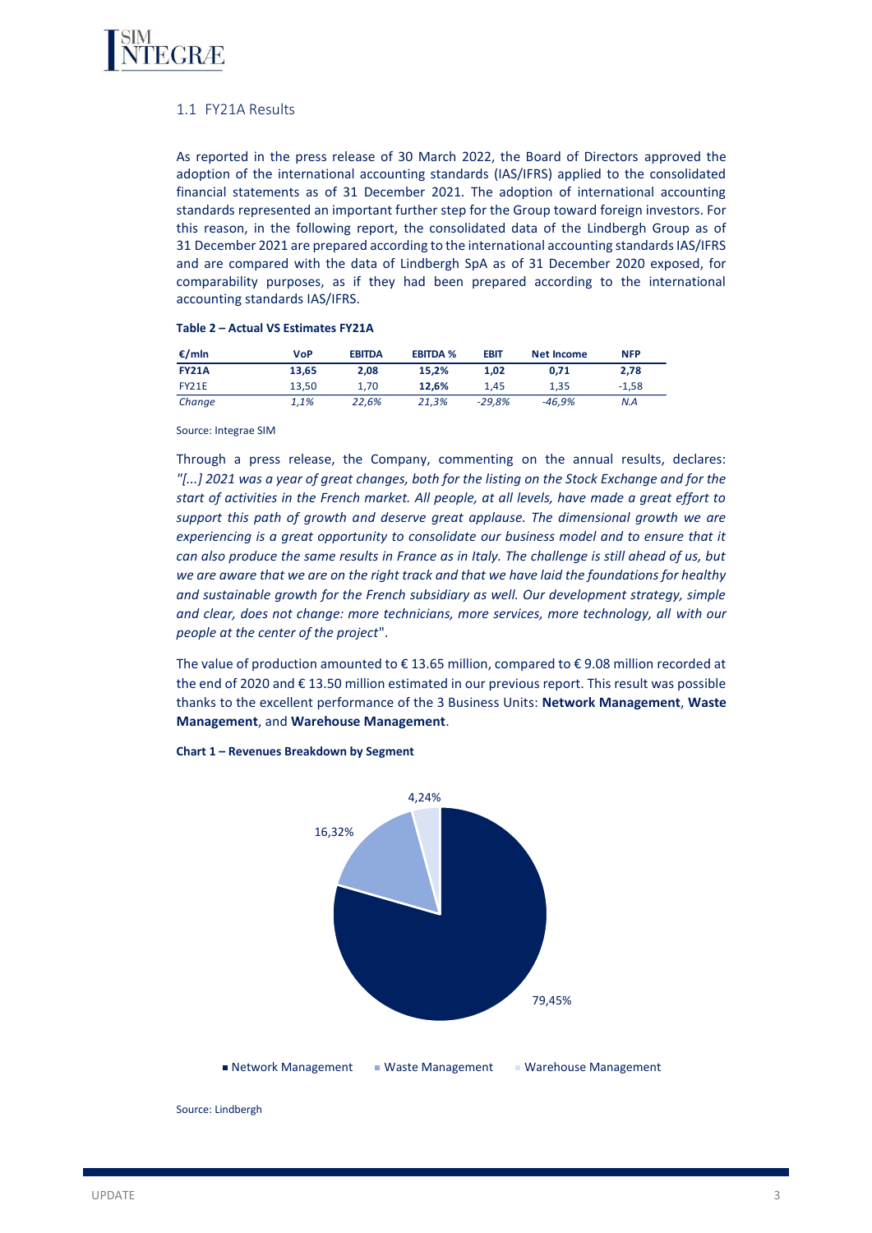

## 1.1 FY21A Results

As reported in the press release of 30 March 2022, the Board of Directors approved the adoption of the international accounting standards (IAS/IFRS) applied to the consolidated financial statements as of 31 December 2021. The adoption of international accounting standards represented an important further step for the Group toward foreign investors. For this reason, in the following report, the consolidated data of the Lindbergh Group as of 31 December 2021 are prepared according to the international accounting standards IAS/IFRS and are compared with the data of Lindbergh SpA as of 31 December 2020 exposed, for comparability purposes, as if they had been prepared according to the international accounting standards IAS/IFRS.

#### **Table 2 – Actual VS Estimates FY21A**

| €/mln        | VoP   | <b>EBITDA</b> | <b>EBITDA %</b> | <b>EBIT</b> | <b>Net Income</b> | <b>NFP</b> |
|--------------|-------|---------------|-----------------|-------------|-------------------|------------|
| <b>FY21A</b> | 13.65 | 2.08          | 15.2%           | 1.02        | 0.71              | 2.78       |
| <b>FY21E</b> | 13.50 | 1.70          | 12.6%           | 1.45        | 1,35              | $-1.58$    |
| Change       | 1.1%  | 22.6%         | 21.3%           | $-29.8%$    | $-46.9%$          | N.A        |

Source: Integrae SIM

Through a press release, the Company, commenting on the annual results, declares: *"[...] 2021 was a year of great changes, both for the listing on the Stock Exchange and for the start of activities in the French market. All people, at all levels, have made a great effort to support this path of growth and deserve great applause. The dimensional growth we are*  experiencing is a great opportunity to consolidate our business model and to ensure that it *can also produce the same results in France as in Italy. The challenge is still ahead of us, but we are aware that we are on the right track and that we have laid the foundations for healthy and sustainable growth for the French subsidiary as well. Our development strategy, simple and clear, does not change: more technicians, more services, more technology, all with our people at the center of the project*".

The value of production amounted to € 13.65 million, compared to € 9.08 million recorded at the end of 2020 and € 13.50 million estimated in our previous report. This result was possible thanks to the excellent performance of the 3 Business Units: **Network Management**, **Waste Management**, and **Warehouse Management**.



**Chart 1 – Revenues Breakdown by Segment**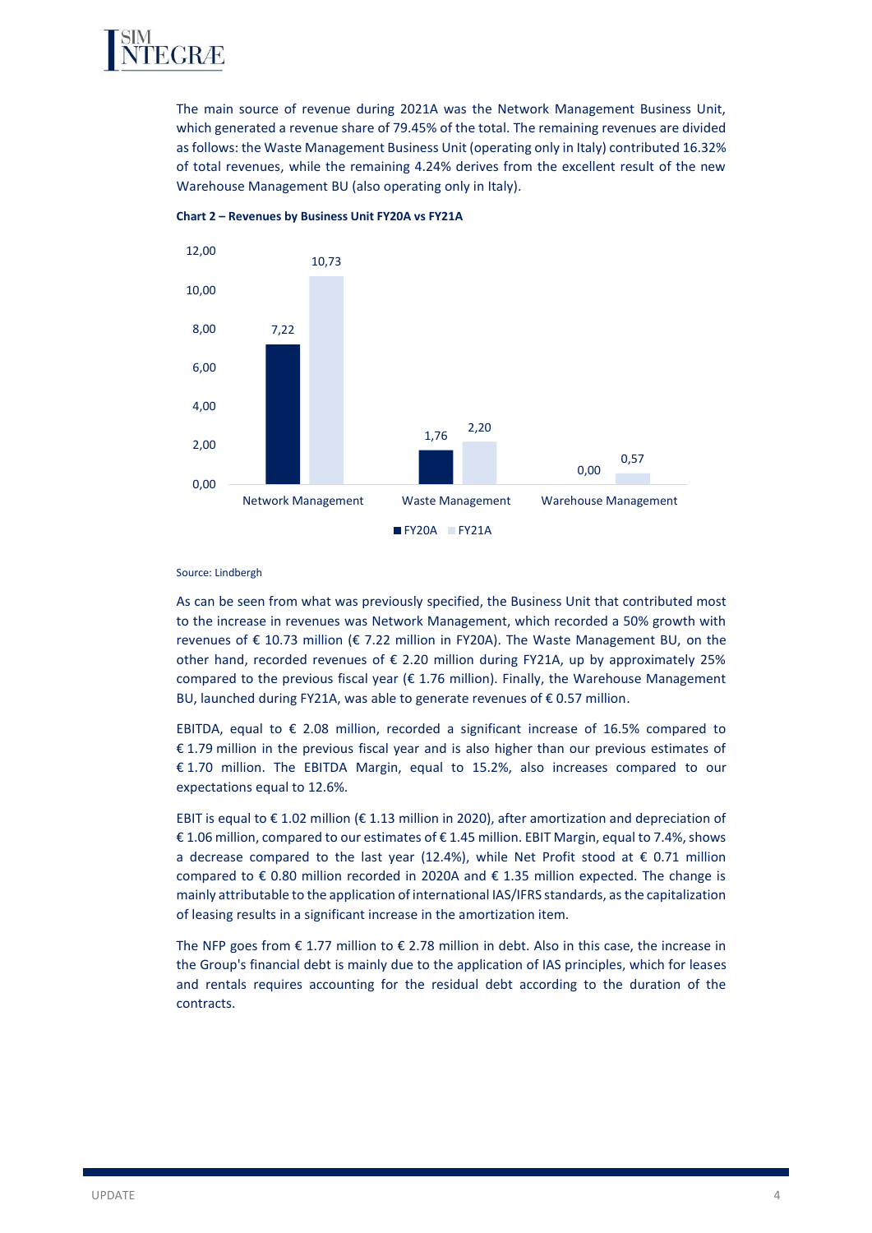

The main source of revenue during 2021A was the Network Management Business Unit, which generated a revenue share of 79.45% of the total. The remaining revenues are divided as follows: the Waste Management Business Unit (operating only in Italy) contributed 16.32% of total revenues, while the remaining 4.24% derives from the excellent result of the new Warehouse Management BU (also operating only in Italy).



**Chart 2 – Revenues by Business Unit FY20A vs FY21A** 

#### Source: Lindbergh

As can be seen from what was previously specified, the Business Unit that contributed most to the increase in revenues was Network Management, which recorded a 50% growth with revenues of € 10.73 million (€ 7.22 million in FY20A). The Waste Management BU, on the other hand, recorded revenues of  $\epsilon$  2.20 million during FY21A, up by approximately 25% compared to the previous fiscal year ( $\epsilon$  1.76 million). Finally, the Warehouse Management BU, launched during FY21A, was able to generate revenues of € 0.57 million.

EBITDA, equal to  $\epsilon$  2.08 million, recorded a significant increase of 16.5% compared to € 1.79 million in the previous fiscal year and is also higher than our previous estimates of € 1.70 million. The EBITDA Margin, equal to 15.2%, also increases compared to our expectations equal to 12.6%.

EBIT is equal to € 1.02 million (€ 1.13 million in 2020), after amortization and depreciation of € 1.06 million, compared to our estimates of € 1.45 million. EBIT Margin, equal to 7.4%, shows a decrease compared to the last year (12.4%), while Net Profit stood at  $\epsilon$  0.71 million compared to  $\epsilon$  0.80 million recorded in 2020A and  $\epsilon$  1.35 million expected. The change is mainly attributable to the application of international IAS/IFRS standards, as the capitalization of leasing results in a significant increase in the amortization item.

The NFP goes from  $\epsilon$  1.77 million to  $\epsilon$  2.78 million in debt. Also in this case, the increase in the Group's financial debt is mainly due to the application of IAS principles, which for leases and rentals requires accounting for the residual debt according to the duration of the contracts.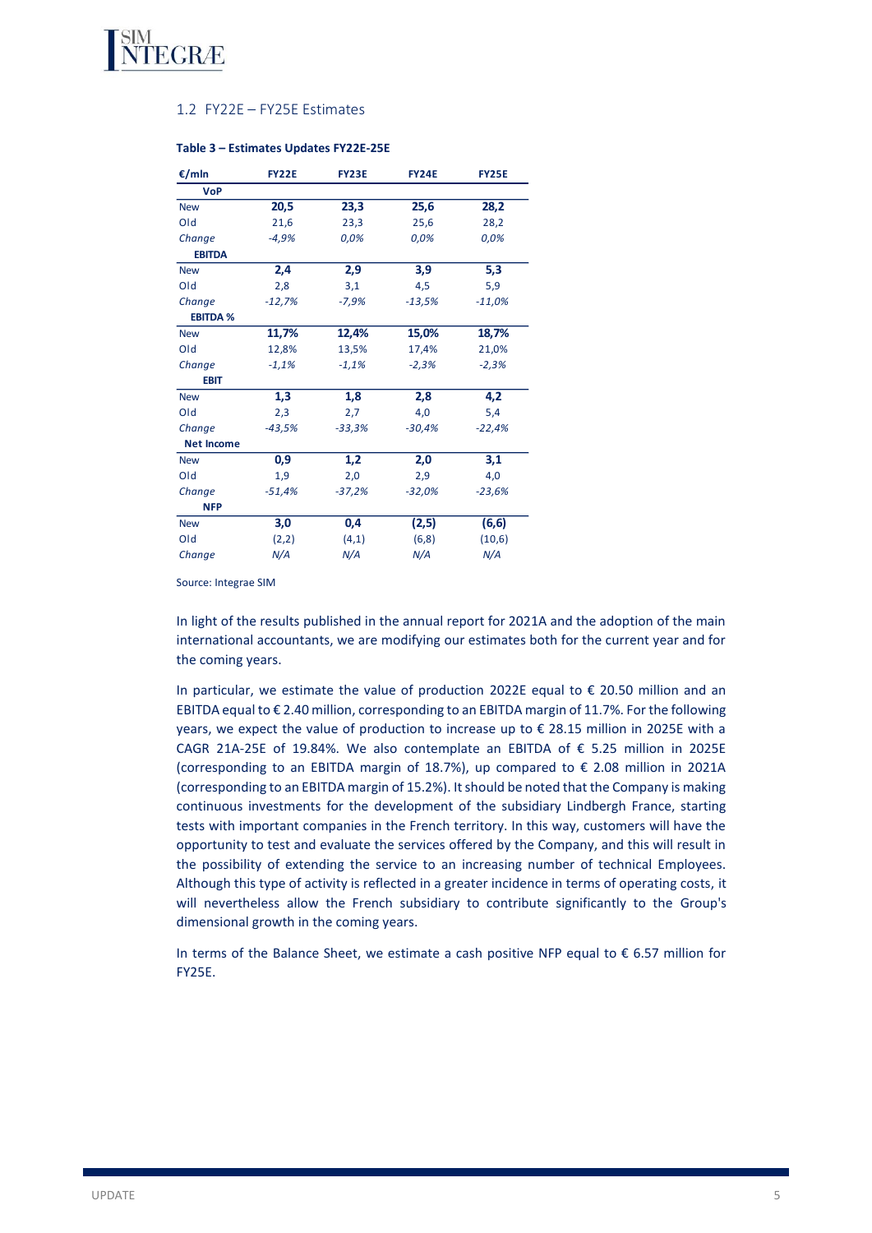

## 1.2 FY22E – FY25E Estimates

| €/mln             | <b>FY22E</b> | <b>FY23E</b> | <b>FY24E</b> | <b>FY25E</b> |
|-------------------|--------------|--------------|--------------|--------------|
| <b>VoP</b>        |              |              |              |              |
| <b>New</b>        | 20,5         | 23,3         | 25,6         | 28,2         |
| Old               | 21,6         | 23,3         | 25,6         | 28,2         |
| Change            | $-4,9%$      | 0,0%         | 0,0%         | 0,0%         |
| <b>EBITDA</b>     |              |              |              |              |
| <b>New</b>        | 2,4          | 2,9          | 3,9          | 5,3          |
| Old               | 2,8          | 3,1          | 4,5          | 5,9          |
| Change            | $-12,7%$     | $-7,9%$      | $-13,5%$     | $-11,0%$     |
| <b>EBITDA %</b>   |              |              |              |              |
| <b>New</b>        | 11,7%        | 12,4%        | 15,0%        | 18,7%        |
| Old               | 12,8%        | 13,5%        | 17,4%        | 21,0%        |
| Change            | $-1,1%$      | $-1,1%$      | $-2,3%$      | $-2,3%$      |
| <b>EBIT</b>       |              |              |              |              |
| <b>New</b>        | 1,3          | 1,8          | 2,8          | 4,2          |
| Old               | 2,3          | 2,7          | 4,0          | 5,4          |
| Change            | $-43,5%$     | $-33,3%$     | $-30,4%$     | $-22,4%$     |
| <b>Net Income</b> |              |              |              |              |
| <b>New</b>        | 0,9          | 1,2          | 2,0          | 3,1          |
| Old               | 1,9          | 2,0          | 2,9          | 4,0          |
| Change            | $-51,4%$     | $-37,2%$     | $-32,0%$     | $-23,6%$     |
| <b>NFP</b>        |              |              |              |              |
| <b>New</b>        | 3,0          | 0,4          | (2,5)        | (6, 6)       |
| Old               | (2,2)        | (4,1)        | (6,8)        | (10,6)       |
| Change            | N/A          | N/A          | N/A          | N/A          |

#### **Table 3 – Estimates Updates FY22E-25E**

Source: Integrae SIM

In light of the results published in the annual report for 2021A and the adoption of the main international accountants, we are modifying our estimates both for the current year and for the coming years.

In particular, we estimate the value of production 2022E equal to € 20.50 million and an EBITDA equal to  $\epsilon$  2.40 million, corresponding to an EBITDA margin of 11.7%. For the following years, we expect the value of production to increase up to € 28.15 million in 2025E with a CAGR 21A-25E of 19.84%. We also contemplate an EBITDA of € 5.25 million in 2025E (corresponding to an EBITDA margin of 18.7%), up compared to € 2.08 million in 2021A (corresponding to an EBITDA margin of 15.2%). It should be noted that the Company is making continuous investments for the development of the subsidiary Lindbergh France, starting tests with important companies in the French territory. In this way, customers will have the opportunity to test and evaluate the services offered by the Company, and this will result in the possibility of extending the service to an increasing number of technical Employees. Although this type of activity is reflected in a greater incidence in terms of operating costs, it will nevertheless allow the French subsidiary to contribute significantly to the Group's dimensional growth in the coming years.

In terms of the Balance Sheet, we estimate a cash positive NFP equal to  $\epsilon$  6.57 million for FY25E.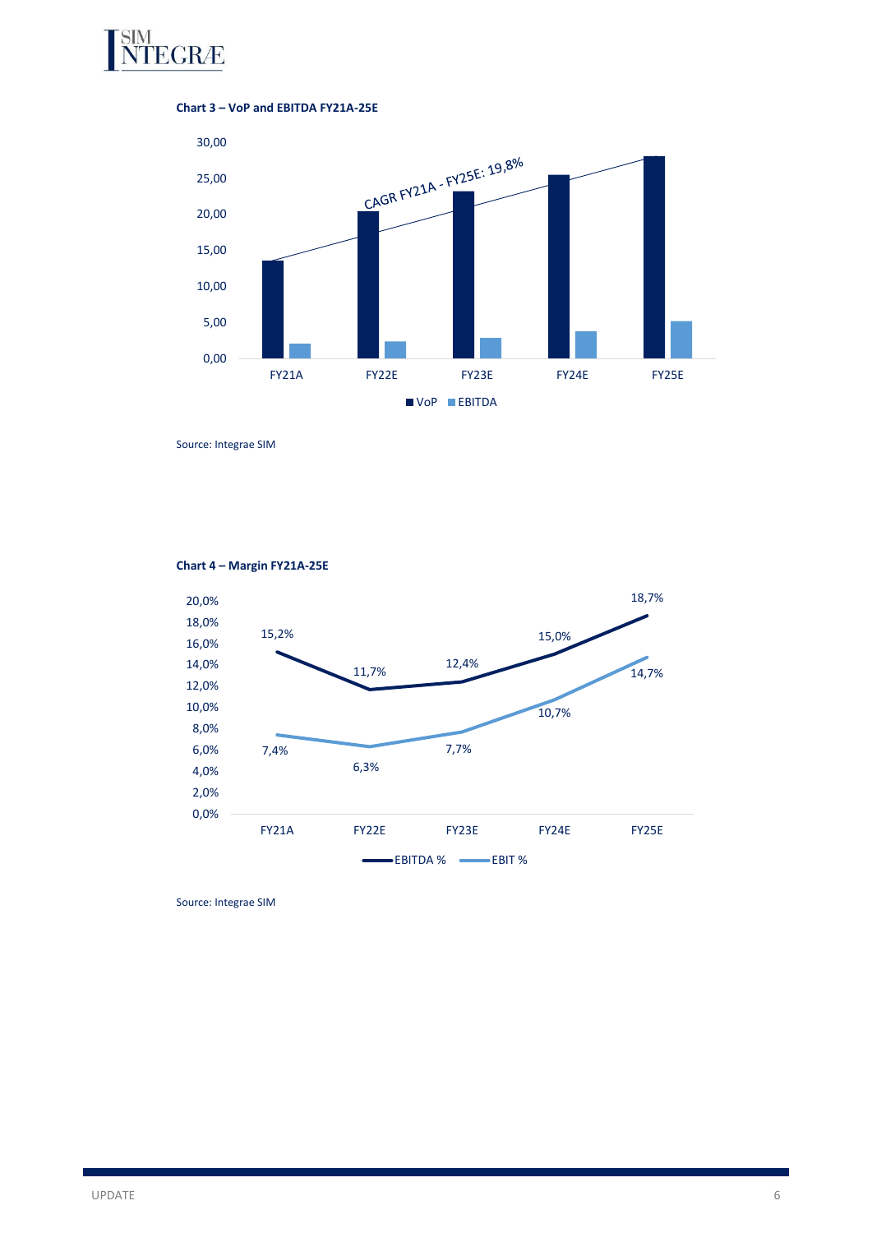





Source: Integrae SIM



**Chart 4 – Margin FY21A-25E**

Source: Integrae SIM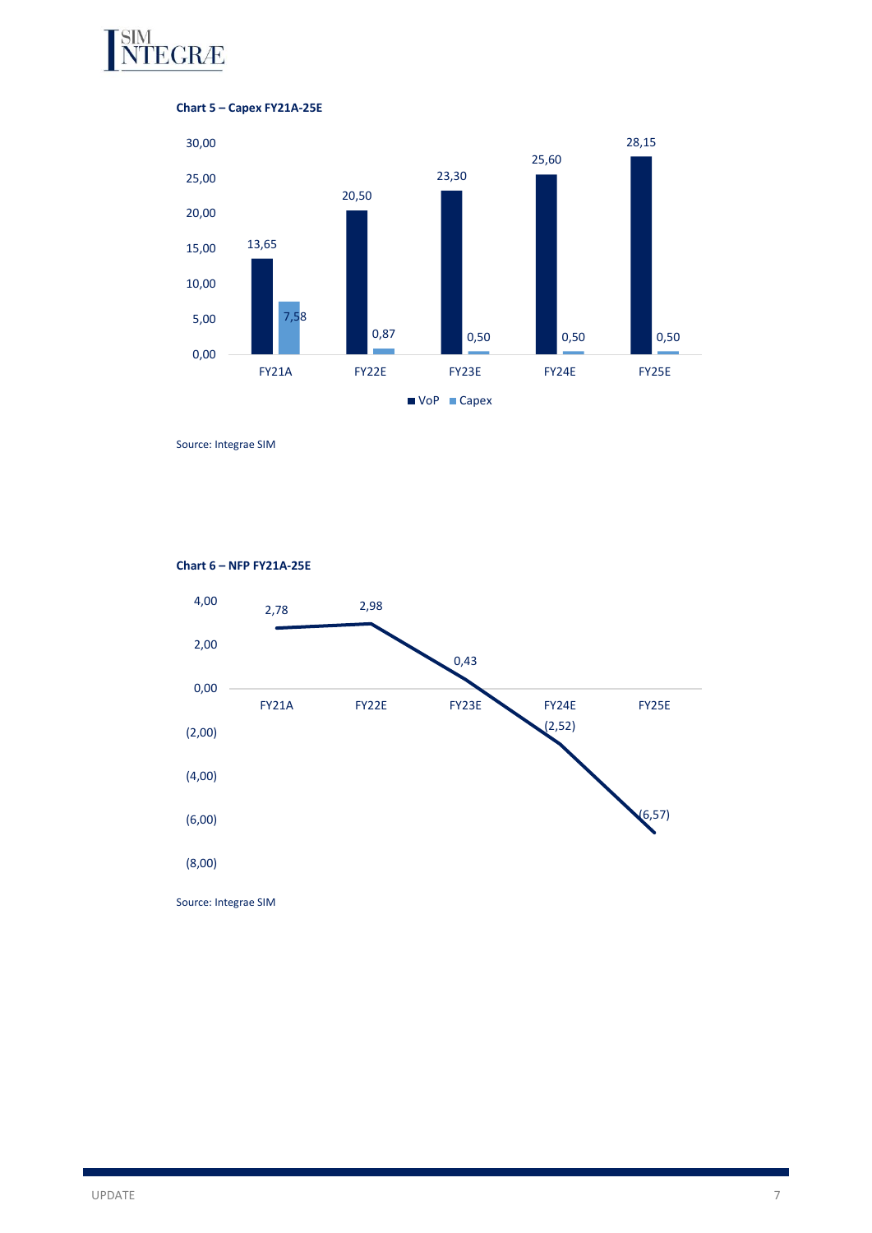

# **Chart 5 – Capex FY21A-25E**



Source: Integrae SIM



## **Chart 6 – NFP FY21A-25E**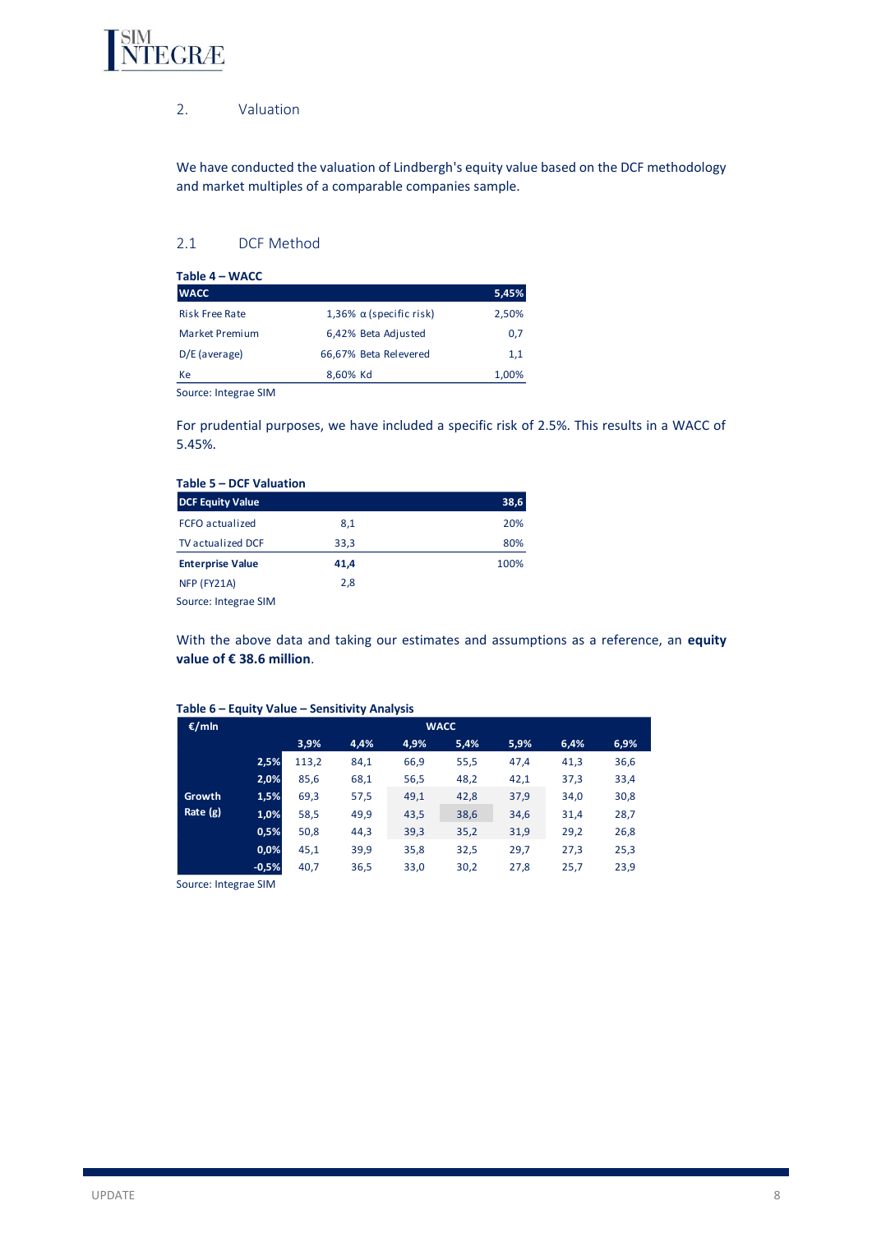

# 2. Valuation

We have conducted the valuation of Lindbergh's equity value based on the DCF methodology and market multiples of a comparable companies sample.

# 2.1 DCF Method

|                                | 5,45% |
|--------------------------------|-------|
| 1,36% $\alpha$ (specific risk) | 2,50% |
| 6,42% Beta Adjusted            | 0,7   |
| 66,67% Beta Relevered          | 1.1   |
| 8.60% Kd                       | 1,00% |
|                                |       |

Source: Integrae SIM

For prudential purposes, we have included a specific risk of 2.5%. This results in a WACC of 5.45%.

| <b>DCF Equity Value</b>  |      | 38,6 |
|--------------------------|------|------|
| <b>FCFO</b> actualized   | 8,1  | 20%  |
| <b>TV</b> actualized DCF | 33,3 | 80%  |
| <b>Enterprise Value</b>  | 41,4 | 100% |
| NFP (FY21A)              | 2,8  |      |
| Source: Integrae SIM     |      |      |

With the above data and taking our estimates and assumptions as a reference, an **equity value of € 38.6 million**.

| €/mln    |         | <b>WACC</b> |      |      |      |      |      |      |  |
|----------|---------|-------------|------|------|------|------|------|------|--|
|          |         | 3,9%        | 4,4% | 4,9% | 5,4% | 5,9% | 6,4% | 6,9% |  |
|          | 2,5%    | 113,2       | 84,1 | 66,9 | 55,5 | 47,4 | 41,3 | 36,6 |  |
|          | 2,0%    | 85,6        | 68,1 | 56,5 | 48,2 | 42,1 | 37,3 | 33,4 |  |
| Growth   | 1,5%    | 69,3        | 57,5 | 49,1 | 42,8 | 37,9 | 34,0 | 30,8 |  |
| Rate (g) | 1,0%    | 58,5        | 49,9 | 43,5 | 38,6 | 34,6 | 31,4 | 28,7 |  |
|          | 0,5%    | 50,8        | 44,3 | 39,3 | 35,2 | 31,9 | 29,2 | 26,8 |  |
|          | 0,0%    | 45,1        | 39,9 | 35,8 | 32,5 | 29,7 | 27,3 | 25,3 |  |
|          | $-0,5%$ | 40,7        | 36,5 | 33,0 | 30,2 | 27,8 | 25,7 | 23,9 |  |

## **Table 6 – Equity Value – Sensitivity Analysis**

Source: Integrae SIM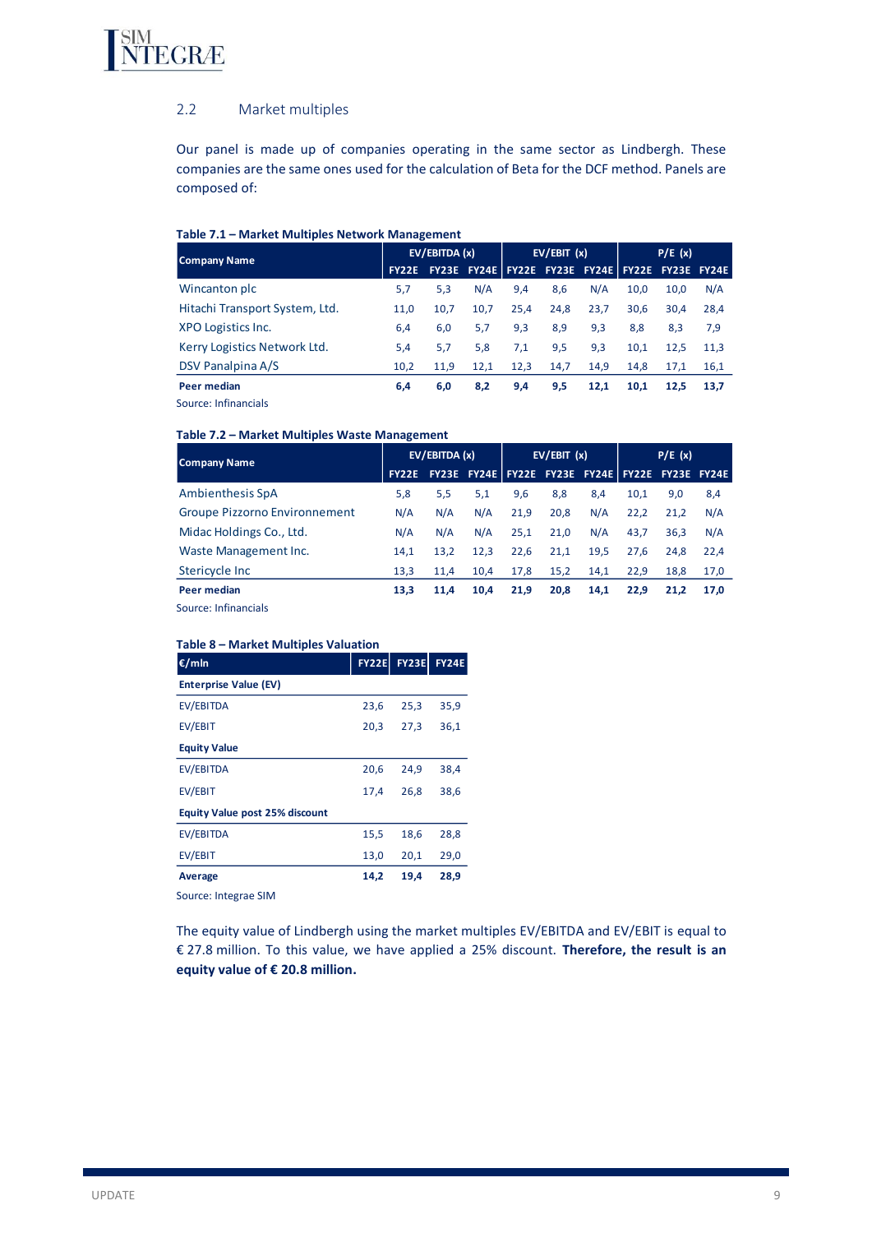

## 2.2 Market multiples

Our panel is made up of companies operating in the same sector as Lindbergh. These companies are the same ones used for the calculation of Beta for the DCF method. Panels are composed of:

### **Table 7.1 – Market Multiples Network Management**

| <b>Company Name</b>               | EV/EBITDA (x) |      | EV/EBIT(x) |      | P/E(x) |      |      |                                                       |      |
|-----------------------------------|---------------|------|------------|------|--------|------|------|-------------------------------------------------------|------|
|                                   |               |      |            |      |        |      |      | FY22E FY23E FY24E FY22E FY23E FY24E FY22E FY23E FY24E |      |
| Wincanton plc                     | 5,7           | 5,3  | N/A        | 9,4  | 8,6    | N/A  | 10.0 | 10.0                                                  | N/A  |
| Hitachi Transport System, Ltd.    | 11,0          | 10,7 | 10,7       | 25,4 | 24,8   | 23,7 | 30,6 | 30.4                                                  | 28.4 |
| XPO Logistics Inc.                | 6,4           | 6,0  | 5,7        | 9,3  | 8,9    | 9,3  | 8,8  | 8.3                                                   | 7,9  |
| Kerry Logistics Network Ltd.      | 5,4           | 5,7  | 5,8        | 7,1  | 9,5    | 9,3  | 10,1 | 12.5                                                  | 11.3 |
| DSV Panalpina A/S                 | 10,2          | 11,9 | 12,1       | 12,3 | 14,7   | 14,9 | 14,8 | 17,1                                                  | 16,1 |
| Peer median                       | 6,4           | 6,0  | 8,2        | 9,4  | 9,5    | 12,1 | 10,1 | 12,5                                                  | 13.7 |
| المالحاء والمتحالة والمحمد ومحالة |               |      |            |      |        |      |      |                                                       |      |

Source: Infinancials

## **Table 7.2 – Market Multiples Waste Management**

| <b>Company Name</b>           | EV/EBITDA (x)     |      | EV/EBIT(x) |      |      | P/E(x) |      |                                                 |      |
|-------------------------------|-------------------|------|------------|------|------|--------|------|-------------------------------------------------|------|
|                               | FY <sub>22E</sub> |      |            |      |      |        |      | FY23E FY24E FY22E FY23E FY24E FY22E FY23E FY24E |      |
| <b>Ambienthesis SpA</b>       | 5,8               | 5,5  | 5,1        | 9,6  | 8,8  | 8,4    | 10,1 | 9,0                                             | 8,4  |
| Groupe Pizzorno Environnement | N/A               | N/A  | N/A        | 21,9 | 20,8 | N/A    | 22,2 | 21.2                                            | N/A  |
| Midac Holdings Co., Ltd.      | N/A               | N/A  | N/A        | 25.1 | 21.0 | N/A    | 43,7 | 36.3                                            | N/A  |
| Waste Management Inc.         | 14,1              | 13,2 | 12,3       | 22.6 | 21,1 | 19,5   | 27.6 | 24.8                                            | 22,4 |
| Stericycle Inc                | 13,3              | 11,4 | 10.4       | 17,8 | 15,2 | 14.1   | 22.9 | 18.8                                            | 17,0 |
| Peer median                   | 13.3              | 11,4 | 10.4       | 21,9 | 20,8 | 14,1   | 22,9 | 21.2                                            | 17.0 |
| Source: Infinancials          |                   |      |            |      |      |        |      |                                                 |      |

### **Table 8 – Market Multiples Valuation**

| €/mln                                 | <b>FY22E</b> | <b>FY23E</b> | <b>FY24E</b> |
|---------------------------------------|--------------|--------------|--------------|
| <b>Enterprise Value (EV)</b>          |              |              |              |
| EV/EBITDA                             | 23,6         | 25,3         | 35,9         |
| EV/EBIT                               | 20,3         | 27,3         | 36,1         |
| <b>Equity Value</b>                   |              |              |              |
| EV/EBITDA                             | 20,6         | 24,9         | 38,4         |
| EV/EBIT                               | 17,4         | 26,8         | 38,6         |
| <b>Equity Value post 25% discount</b> |              |              |              |
| EV/EBITDA                             | 15,5         | 18,6         | 28,8         |
| EV/EBIT                               | 13,0         | 20,1         | 29,0         |
| Average                               | 14,2         | 19,4         | 28,9         |
|                                       |              |              |              |

Source: Integrae SIM

The equity value of Lindbergh using the market multiples EV/EBITDA and EV/EBIT is equal to € 27.8 million. To this value, we have applied a 25% discount. **Therefore, the result is an equity value of € 20.8 million.**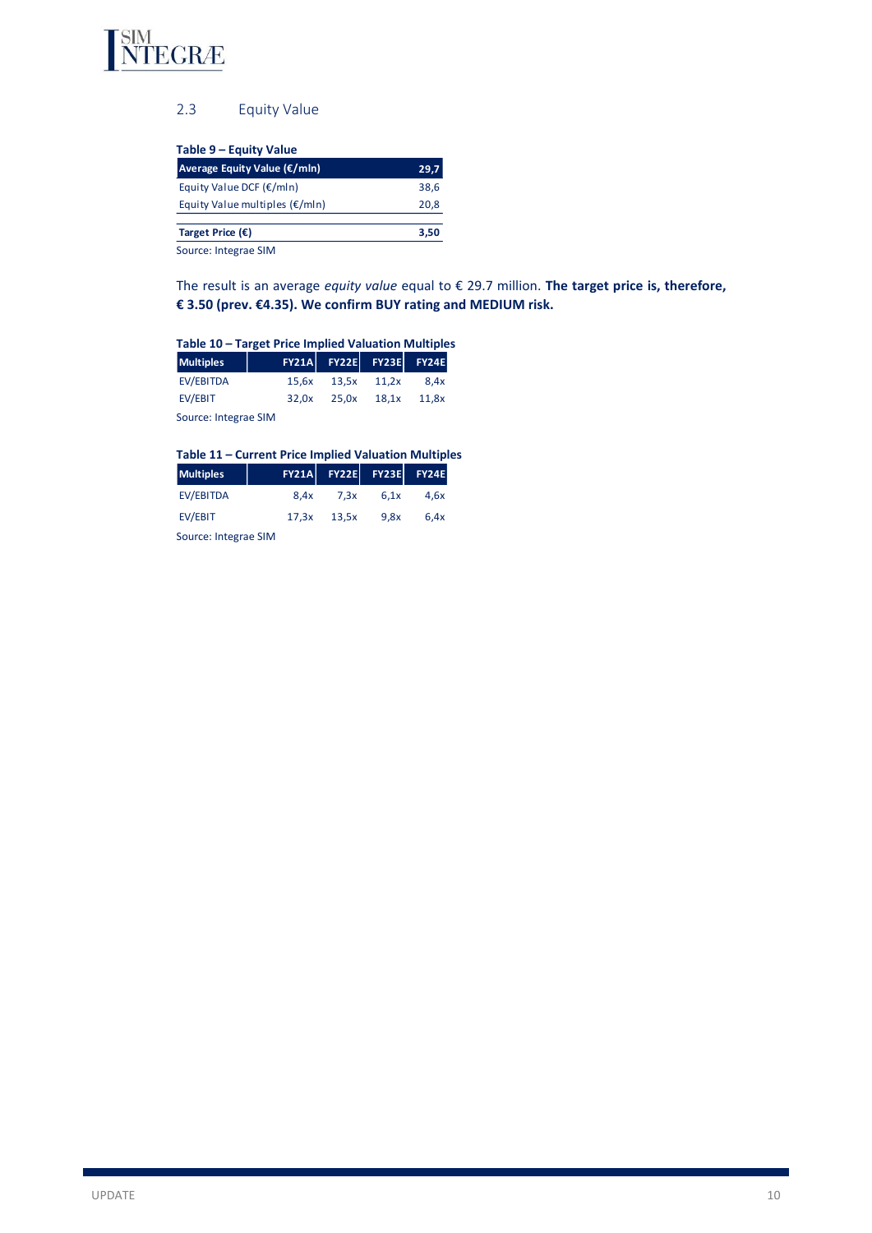

# 2.3 Equity Value

| Table 9 – Equity Value                   |      |
|------------------------------------------|------|
| Average Equity Value (€/mln)             | 29,7 |
| Equity Value DCF $(\epsilon/m\ln)$       | 38,6 |
| Equity Value multiples $(\epsilon/m\ln)$ | 20,8 |
| Target Price $(\epsilon)$                | 3,50 |
| Source: Integrae SIM                     |      |

The result is an average *equity value* equal to € 29.7 million. **The target price is, therefore,** 

# **€ 3.50 (prev. €4.35). We confirm BUY rating and MEDIUM risk.**

| Table 10 - Target Price Implied Valuation Multiples |                      |       |                         |       |  |  |  |  |
|-----------------------------------------------------|----------------------|-------|-------------------------|-------|--|--|--|--|
| <b>Multiples</b>                                    |                      |       | FY21A FY22E FY23E FY24E |       |  |  |  |  |
| <b>EV/EBITDA</b>                                    | 15.6x                | 13.5x | 11.2x                   | 8.4x  |  |  |  |  |
| EV/EBIT                                             | 32.0x                | 25.0x | 18.1x                   | 11.8x |  |  |  |  |
|                                                     | Source: Integrae SIM |       |                         |       |  |  |  |  |

## **Table 11 – Current Price Implied Valuation Multiples**

| <b>Multiples</b> |      | FY21A FY22E FY23E FY24E |      |      |
|------------------|------|-------------------------|------|------|
| EV/EBITDA        | 8.4x | 7.3x                    | 6.1x | 4.6x |
| EV/EBIT          |      | $17.3x$ $13.5x$         | 9.8x | 6.4x |
|                  |      |                         |      |      |

Source: Integrae SIM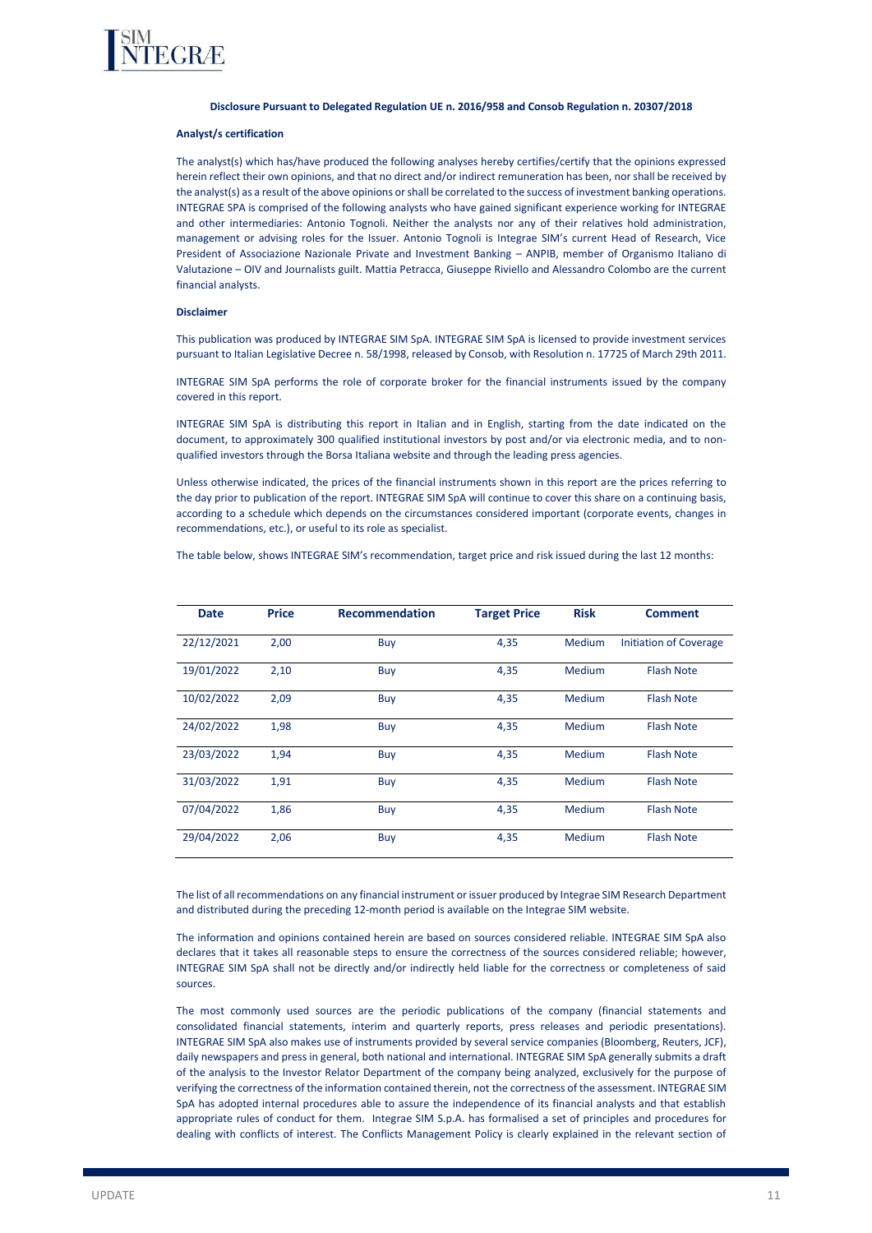

#### **Disclosure Pursuant to Delegated Regulation UE n. 2016/958 and Consob Regulation n. 20307/2018**

#### **Analyst/s certification**

The analyst(s) which has/have produced the following analyses hereby certifies/certify that the opinions expressed herein reflect their own opinions, and that no direct and/or indirect remuneration has been, nor shall be received by the analyst(s) as a result of the above opinions or shall be correlated to the success of investment banking operations. INTEGRAE SPA is comprised of the following analysts who have gained significant experience working for INTEGRAE and other intermediaries: Antonio Tognoli. Neither the analysts nor any of their relatives hold administration, management or advising roles for the Issuer. Antonio Tognoli is Integrae SIM's current Head of Research, Vice President of Associazione Nazionale Private and Investment Banking – ANPIB, member of Organismo Italiano di Valutazione – OIV and Journalists guilt. Mattia Petracca, Giuseppe Riviello and Alessandro Colombo are the current financial analysts.

#### **Disclaimer**

This publication was produced by INTEGRAE SIM SpA. INTEGRAE SIM SpA is licensed to provide investment services pursuant to Italian Legislative Decree n. 58/1998, released by Consob, with Resolution n. 17725 of March 29th 2011.

INTEGRAE SIM SpA performs the role of corporate broker for the financial instruments issued by the company covered in this report.

INTEGRAE SIM SpA is distributing this report in Italian and in English, starting from the date indicated on the document, to approximately 300 qualified institutional investors by post and/or via electronic media, and to nonqualified investors through the Borsa Italiana website and through the leading press agencies.

Unless otherwise indicated, the prices of the financial instruments shown in this report are the prices referring to the day prior to publication of the report. INTEGRAE SIM SpA will continue to cover this share on a continuing basis, according to a schedule which depends on the circumstances considered important (corporate events, changes in recommendations, etc.), or useful to its role as specialist.

The table below, shows INTEGRAE SIM's recommendation, target price and risk issued during the last 12 months:

| <b>Date</b> | <b>Price</b> | <b>Recommendation</b> | <b>Target Price</b> | <b>Risk</b>   | <b>Comment</b>                |
|-------------|--------------|-----------------------|---------------------|---------------|-------------------------------|
| 22/12/2021  | 2,00         | Buy                   | 4,35                | <b>Medium</b> | <b>Initiation of Coverage</b> |
| 19/01/2022  | 2,10         | Buy                   | 4,35                | Medium        | <b>Flash Note</b>             |
| 10/02/2022  | 2,09         | Buy                   | 4,35                | Medium        | <b>Flash Note</b>             |
| 24/02/2022  | 1,98         | Buy                   | 4,35                | Medium        | <b>Flash Note</b>             |
| 23/03/2022  | 1,94         | Buy                   | 4,35                | Medium        | <b>Flash Note</b>             |
| 31/03/2022  | 1,91         | Buy                   | 4,35                | Medium        | <b>Flash Note</b>             |
| 07/04/2022  | 1,86         | Buy                   | 4,35                | Medium        | <b>Flash Note</b>             |
| 29/04/2022  | 2,06         | Buy                   | 4,35                | Medium        | <b>Flash Note</b>             |

The list of all recommendations on any financial instrument or issuer produced by Integrae SIM Research Department and distributed during the preceding 12-month period is available on the Integrae SIM website.

The information and opinions contained herein are based on sources considered reliable. INTEGRAE SIM SpA also declares that it takes all reasonable steps to ensure the correctness of the sources considered reliable; however, INTEGRAE SIM SpA shall not be directly and/or indirectly held liable for the correctness or completeness of said sources.

The most commonly used sources are the periodic publications of the company (financial statements and consolidated financial statements, interim and quarterly reports, press releases and periodic presentations). INTEGRAE SIM SpA also makes use of instruments provided by several service companies (Bloomberg, Reuters, JCF), daily newspapers and press in general, both national and international. INTEGRAE SIM SpA generally submits a draft of the analysis to the Investor Relator Department of the company being analyzed, exclusively for the purpose of verifying the correctness of the information contained therein, not the correctness of the assessment. INTEGRAE SIM SpA has adopted internal procedures able to assure the independence of its financial analysts and that establish appropriate rules of conduct for them. Integrae SIM S.p.A. has formalised a set of principles and procedures for dealing with conflicts of interest. The Conflicts Management Policy is clearly explained in the relevant section of